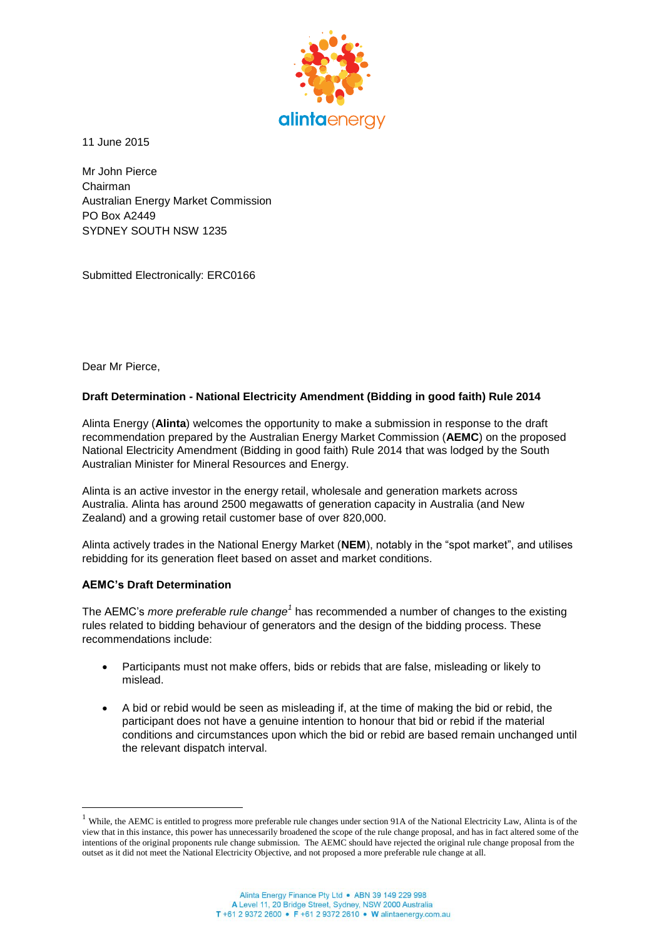

11 June 2015

Mr John Pierce Chairman Australian Energy Market Commission PO Box A2449 SYDNEY SOUTH NSW 1235

Submitted Electronically: ERC0166

Dear Mr Pierce,

## **Draft Determination - National Electricity Amendment (Bidding in good faith) Rule 2014**

Alinta Energy (**Alinta**) welcomes the opportunity to make a submission in response to the draft recommendation prepared by the Australian Energy Market Commission (**AEMC**) on the proposed National Electricity Amendment (Bidding in good faith) Rule 2014 that was lodged by the South Australian Minister for Mineral Resources and Energy.

Alinta is an active investor in the energy retail, wholesale and generation markets across Australia. Alinta has around 2500 megawatts of generation capacity in Australia (and New Zealand) and a growing retail customer base of over 820,000.

Alinta actively trades in the National Energy Market (**NEM**), notably in the "spot market", and utilises rebidding for its generation fleet based on asset and market conditions.

## **AEMC's Draft Determination**

 $\overline{a}$ 

The AEMC's *more preferable rule change<sup>1</sup>* has recommended a number of changes to the existing rules related to bidding behaviour of generators and the design of the bidding process. These recommendations include:

- Participants must not make offers, bids or rebids that are false, misleading or likely to mislead.
- A bid or rebid would be seen as misleading if, at the time of making the bid or rebid, the participant does not have a genuine intention to honour that bid or rebid if the material conditions and circumstances upon which the bid or rebid are based remain unchanged until the relevant dispatch interval.

<sup>&</sup>lt;sup>1</sup> While, the AEMC is entitled to progress more preferable rule changes under section 91A of the National Electricity Law, Alinta is of the view that in this instance, this power has unnecessarily broadened the scope of the rule change proposal, and has in fact altered some of the intentions of the original proponents rule change submission. The AEMC should have rejected the original rule change proposal from the outset as it did not meet the National Electricity Objective, and not proposed a more preferable rule change at all.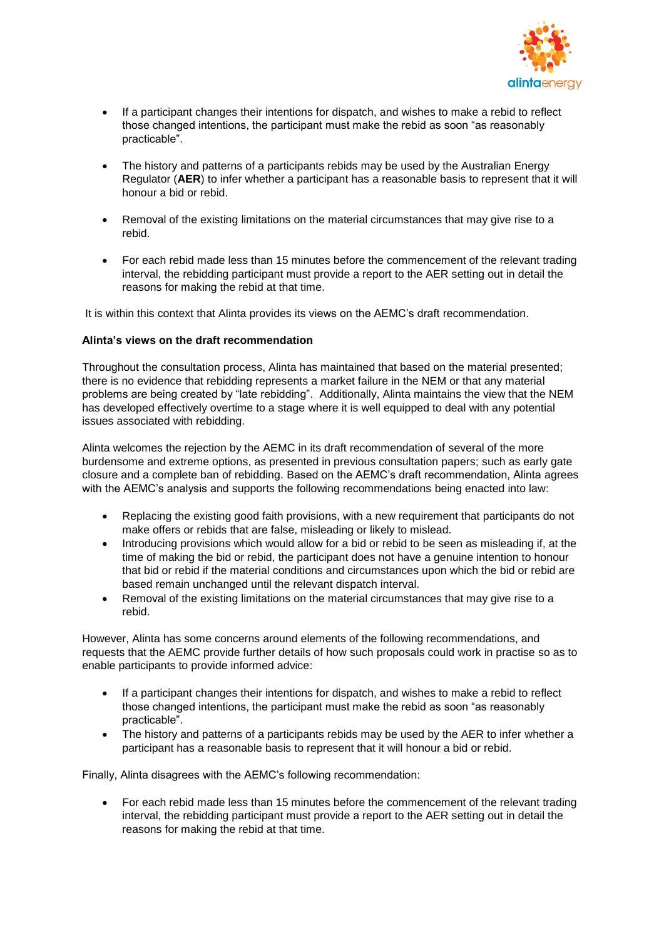

- If a participant changes their intentions for dispatch, and wishes to make a rebid to reflect those changed intentions, the participant must make the rebid as soon "as reasonably practicable".
- The history and patterns of a participants rebids may be used by the Australian Energy Regulator (**AER**) to infer whether a participant has a reasonable basis to represent that it will honour a bid or rebid.
- Removal of the existing limitations on the material circumstances that may give rise to a rebid.
- For each rebid made less than 15 minutes before the commencement of the relevant trading interval, the rebidding participant must provide a report to the AER setting out in detail the reasons for making the rebid at that time.

It is within this context that Alinta provides its views on the AEMC's draft recommendation.

#### **Alinta's views on the draft recommendation**

Throughout the consultation process, Alinta has maintained that based on the material presented; there is no evidence that rebidding represents a market failure in the NEM or that any material problems are being created by "late rebidding". Additionally, Alinta maintains the view that the NEM has developed effectively overtime to a stage where it is well equipped to deal with any potential issues associated with rebidding.

Alinta welcomes the rejection by the AEMC in its draft recommendation of several of the more burdensome and extreme options, as presented in previous consultation papers; such as early gate closure and a complete ban of rebidding. Based on the AEMC's draft recommendation, Alinta agrees with the AEMC's analysis and supports the following recommendations being enacted into law:

- Replacing the existing good faith provisions, with a new requirement that participants do not make offers or rebids that are false, misleading or likely to mislead.
- Introducing provisions which would allow for a bid or rebid to be seen as misleading if, at the time of making the bid or rebid, the participant does not have a genuine intention to honour that bid or rebid if the material conditions and circumstances upon which the bid or rebid are based remain unchanged until the relevant dispatch interval.
- Removal of the existing limitations on the material circumstances that may give rise to a rebid.

However, Alinta has some concerns around elements of the following recommendations, and requests that the AEMC provide further details of how such proposals could work in practise so as to enable participants to provide informed advice:

- If a participant changes their intentions for dispatch, and wishes to make a rebid to reflect those changed intentions, the participant must make the rebid as soon "as reasonably practicable".
- The history and patterns of a participants rebids may be used by the AER to infer whether a participant has a reasonable basis to represent that it will honour a bid or rebid.

Finally, Alinta disagrees with the AEMC's following recommendation:

 For each rebid made less than 15 minutes before the commencement of the relevant trading interval, the rebidding participant must provide a report to the AER setting out in detail the reasons for making the rebid at that time.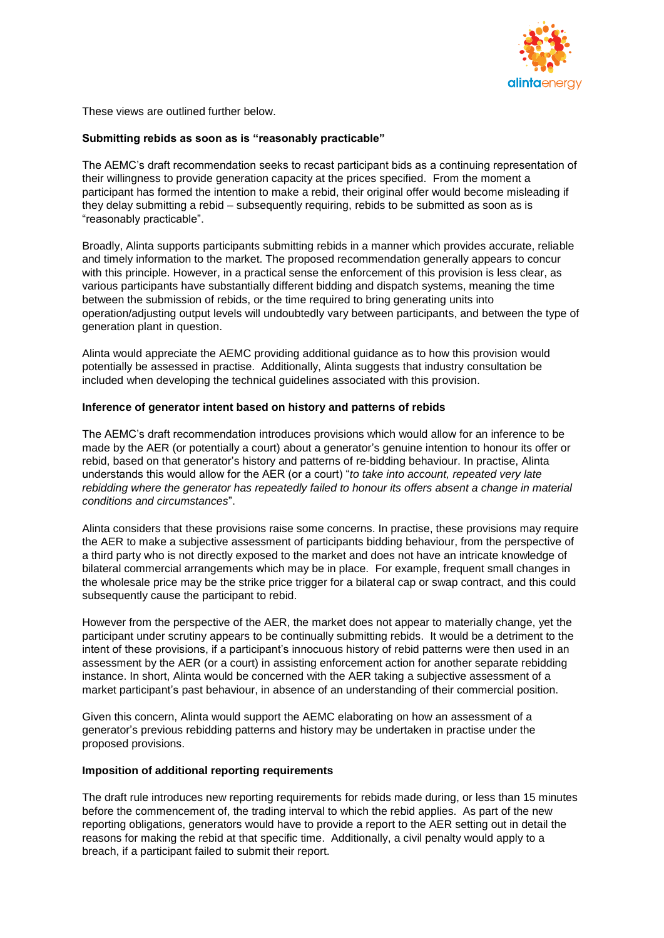

These views are outlined further below.

# **Submitting rebids as soon as is "reasonably practicable"**

The AEMC's draft recommendation seeks to recast participant bids as a continuing representation of their willingness to provide generation capacity at the prices specified. From the moment a participant has formed the intention to make a rebid, their original offer would become misleading if they delay submitting a rebid – subsequently requiring, rebids to be submitted as soon as is "reasonably practicable".

Broadly, Alinta supports participants submitting rebids in a manner which provides accurate, reliable and timely information to the market. The proposed recommendation generally appears to concur with this principle. However, in a practical sense the enforcement of this provision is less clear, as various participants have substantially different bidding and dispatch systems, meaning the time between the submission of rebids, or the time required to bring generating units into operation/adjusting output levels will undoubtedly vary between participants, and between the type of generation plant in question.

Alinta would appreciate the AEMC providing additional guidance as to how this provision would potentially be assessed in practise. Additionally, Alinta suggests that industry consultation be included when developing the technical guidelines associated with this provision.

# **Inference of generator intent based on history and patterns of rebids**

The AEMC's draft recommendation introduces provisions which would allow for an inference to be made by the AER (or potentially a court) about a generator's genuine intention to honour its offer or rebid, based on that generator's history and patterns of re-bidding behaviour. In practise, Alinta understands this would allow for the AER (or a court) "*to take into account, repeated very late rebidding where the generator has repeatedly failed to honour its offers absent a change in material conditions and circumstances*".

Alinta considers that these provisions raise some concerns. In practise, these provisions may require the AER to make a subjective assessment of participants bidding behaviour, from the perspective of a third party who is not directly exposed to the market and does not have an intricate knowledge of bilateral commercial arrangements which may be in place. For example, frequent small changes in the wholesale price may be the strike price trigger for a bilateral cap or swap contract, and this could subsequently cause the participant to rebid.

However from the perspective of the AER, the market does not appear to materially change, yet the participant under scrutiny appears to be continually submitting rebids. It would be a detriment to the intent of these provisions, if a participant's innocuous history of rebid patterns were then used in an assessment by the AER (or a court) in assisting enforcement action for another separate rebidding instance. In short, Alinta would be concerned with the AER taking a subjective assessment of a market participant's past behaviour, in absence of an understanding of their commercial position.

Given this concern, Alinta would support the AEMC elaborating on how an assessment of a generator's previous rebidding patterns and history may be undertaken in practise under the proposed provisions.

## **Imposition of additional reporting requirements**

The draft rule introduces new reporting requirements for rebids made during, or less than 15 minutes before the commencement of, the trading interval to which the rebid applies. As part of the new reporting obligations, generators would have to provide a report to the AER setting out in detail the reasons for making the rebid at that specific time. Additionally, a civil penalty would apply to a breach, if a participant failed to submit their report.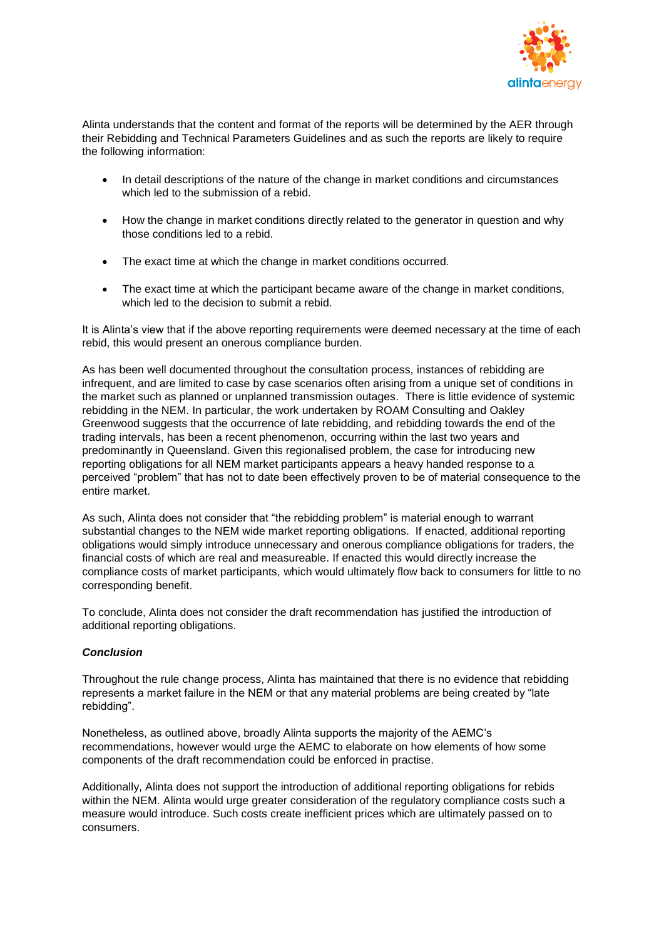

Alinta understands that the content and format of the reports will be determined by the AER through their Rebidding and Technical Parameters Guidelines and as such the reports are likely to require the following information:

- In detail descriptions of the nature of the change in market conditions and circumstances which led to the submission of a rebid.
- How the change in market conditions directly related to the generator in question and why those conditions led to a rebid.
- The exact time at which the change in market conditions occurred.
- The exact time at which the participant became aware of the change in market conditions, which led to the decision to submit a rebid.

It is Alinta's view that if the above reporting requirements were deemed necessary at the time of each rebid, this would present an onerous compliance burden.

As has been well documented throughout the consultation process, instances of rebidding are infrequent, and are limited to case by case scenarios often arising from a unique set of conditions in the market such as planned or unplanned transmission outages. There is little evidence of systemic rebidding in the NEM. In particular, the work undertaken by ROAM Consulting and Oakley Greenwood suggests that the occurrence of late rebidding, and rebidding towards the end of the trading intervals, has been a recent phenomenon, occurring within the last two years and predominantly in Queensland. Given this regionalised problem, the case for introducing new reporting obligations for all NEM market participants appears a heavy handed response to a perceived "problem" that has not to date been effectively proven to be of material consequence to the entire market.

As such, Alinta does not consider that "the rebidding problem" is material enough to warrant substantial changes to the NEM wide market reporting obligations. If enacted, additional reporting obligations would simply introduce unnecessary and onerous compliance obligations for traders, the financial costs of which are real and measureable. If enacted this would directly increase the compliance costs of market participants, which would ultimately flow back to consumers for little to no corresponding benefit.

To conclude, Alinta does not consider the draft recommendation has justified the introduction of additional reporting obligations.

# *Conclusion*

Throughout the rule change process, Alinta has maintained that there is no evidence that rebidding represents a market failure in the NEM or that any material problems are being created by "late rebidding".

Nonetheless, as outlined above, broadly Alinta supports the majority of the AEMC's recommendations, however would urge the AEMC to elaborate on how elements of how some components of the draft recommendation could be enforced in practise.

Additionally, Alinta does not support the introduction of additional reporting obligations for rebids within the NEM. Alinta would urge greater consideration of the regulatory compliance costs such a measure would introduce. Such costs create inefficient prices which are ultimately passed on to consumers.